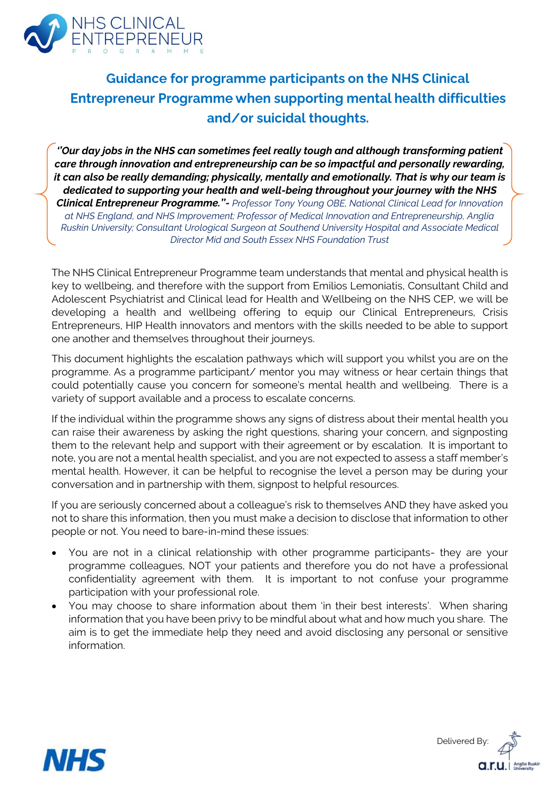

# **Guidance for programme participants on the NHS Clinical Entrepreneur Programme when supporting mental health difficulties** and/or suicidal thoughts.

*''Our day jobs in the NHS can sometimes feel really tough and although transforming patient care through innovation and entrepreneurship can be so impactful and personally rewarding, it can also be really demanding; physically, mentally and emotionally. That is why our team is dedicated to supporting your health and well-being throughout your journey with the NHS Clinical Entrepreneur Programme.''- Professor Tony Young OBE, National Clinical Lead for Innovation at NHS England, and NHS Improvement; Professor of Medical Innovation and Entrepreneurship, Anglia Ruskin University; Consultant Urological Surgeon at Southend University Hospital and Associate Medical Director Mid and South Essex NHS Foundation Trust*

The NHS Clinical Entrepreneur Programme team understands that mental and physical health is key to wellbeing, and therefore with the support from Emilios Lemoniatis, Consultant Child and Adolescent Psychiatrist and Clinical lead for Health and Wellbeing on the NHS CEP, we will be developing a health and wellbeing offering to equip our Clinical Entrepreneurs, Crisis Entrepreneurs, HIP Health innovators and mentors with the skills needed to be able to support one another and themselves throughout their journeys.

This document highlights the escalation pathways which will support you whilst you are on the programme. As a programme participant/ mentor you may witness or hear certain things that could potentially cause you concern for someone's mental health and wellbeing. There is a variety of support available and a process to escalate concerns.

If the individual within the programme shows any signs of distress about their mental health you can raise their awareness by asking the right questions, sharing your concern, and signposting them to the relevant help and support with their agreement or by escalation. It is important to note, you are not a mental health specialist, and you are not expected to assess a staff member's mental health. However, it can be helpful to recognise the level a person may be during your conversation and in partnership with them, signpost to helpful resources.

If you are seriously concerned about a colleague's risk to themselves AND they have asked you not to share this information, then you must make a decision to disclose that information to other people or not. You need to bare-in-mind these issues:

- You are not in a clinical relationship with other programme participants- they are your programme colleagues, NOT your patients and therefore you do not have a professional confidentiality agreement with them. It is important to not confuse your programme participation with your professional role.
- You may choose to share information about them 'in their best interests'. When sharing information that you have been privy to be mindful about what and how much you share. The aim is to get the immediate help they need and avoid disclosing any personal or sensitive information.



Delivered By: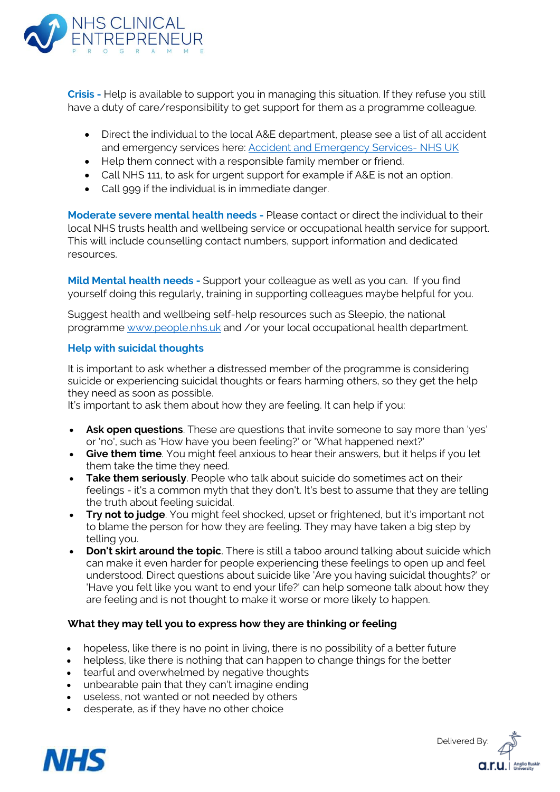

**Crisis -** Help is available to support you in managing this situation. If they refuse you still have a duty of care/responsibility to get support for them as a programme colleague.

- Direct the individual to the local A&E department, please see a list of all accident and emergency services here: [Accident and Emergency Services-](https://www.nhs.uk/service-search/other-services/Accident-and-emergency-services/LocationSearch/428) NHS UK
- Help them connect with a responsible family member or friend.
- Call NHS 111, to ask for urgent support for example if A&E is not an option.
- Call 999 if the individual is in immediate danger.

**Moderate severe mental health needs -** Please contact or direct the individual to their local NHS trusts health and wellbeing service or occupational health service for support. This will include counselling contact numbers, support information and dedicated resources.

**Mild Mental health needs -** Support your colleague as well as you can. If you find yourself doing this regularly, training in supporting colleagues maybe helpful for you.

Suggest health and wellbeing self-help resources such as Sleepio, the national programme [www.people.nhs.uk](http://www.people.nhs.uk/) and /or your local occupational health department.

# **Help with suicidal thoughts**

It is important to ask whether a distressed member of the programme is considering suicide or experiencing suicidal thoughts or fears harming others, so they get the help they need as soon as possible.

It's important to ask them about how they are feeling. It can help if you:

- **Ask open questions**. These are questions that invite someone to say more than 'yes' or 'no', such as 'How have you been feeling?' or 'What happened next?'
- **Give them time**. You might feel anxious to hear their answers, but it helps if you let them take the time they need.
- **Take them seriously**. People who talk about suicide do sometimes act on their feelings - it's a common myth that they don't. It's best to assume that they are telling the truth about feeling suicidal.
- **Try not to judge**. You might feel shocked, upset or frightened, but it's important not to blame the person for how they are feeling. They may have taken a big step by telling you.
- **Don't skirt around the topic**. There is still a taboo around talking about suicide which can make it even harder for people experiencing these feelings to open up and feel understood. Direct questions about suicide like 'Are you having suicidal thoughts?' or 'Have you felt like you want to end your life?' can help someone talk about how they are feeling and is not thought to make it worse or more likely to happen.

## **What they may tell you to express how they are thinking or feeling**

- hopeless, like there is no point in living, there is no possibility of a better future
- helpless, like there is nothing that can happen to change things for the better
- tearful and overwhelmed by negative thoughts
- unbearable pain that they can't imagine ending
- useless, not wanted or not needed by others
- desperate, as if they have no other choice



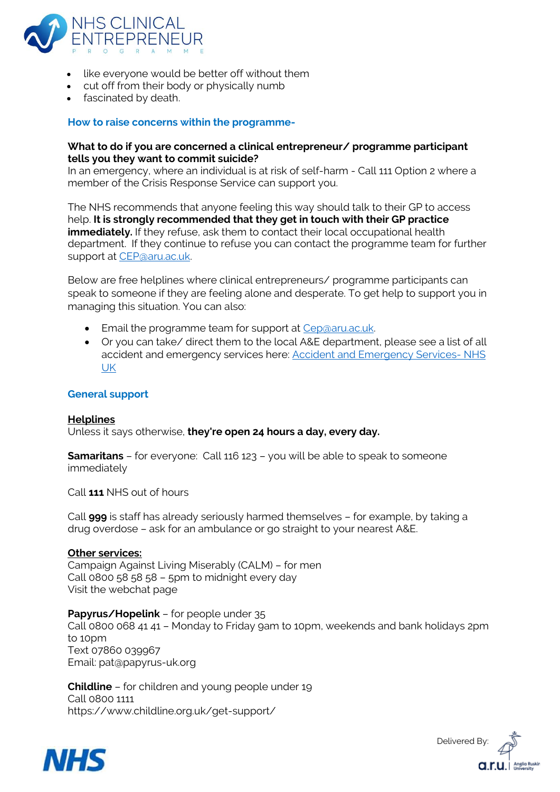

- like everyone would be better off without them
- cut off from their body or physically numb
- fascinated by death.

## **How to raise concerns within the programme-**

## **What to do if you are concerned a clinical entrepreneur/ programme participant tells you they want to commit suicide?**

In an emergency, where an individual is at risk of self-harm - Call 111 Option 2 where a member of the Crisis Response Service can support you.

The NHS recommends that anyone feeling this way should talk to their GP to access help. **It is strongly recommended that they get in touch with their GP practice immediately.** If they refuse, ask them to contact their local occupational health department. If they continue to refuse you can contact the programme team for further support at [CEP@aru.ac.uk.](mailto:CEP@aru.ac.uk)

Below are free helplines where clinical entrepreneurs/ programme participants can speak to someone if they are feeling alone and desperate. To get help to support you in managing this situation. You can also:

- Email the programme team for support at Cep@aru.ac.uk.
- Or you can take/ direct them to the local A&E department, please see a list of all accident and emergency services here[: Accident and Emergency Services-](https://www.nhs.uk/service-search/other-services/Accident-and-emergency-services/LocationSearch/428) NHS [UK](https://www.nhs.uk/service-search/other-services/Accident-and-emergency-services/LocationSearch/428)

#### **General support**

**Helplines**  Unless it says otherwise, **they're open 24 hours a day, every day.**

**[Samaritans](https://www.samaritans.org/how-we-can-help/contact-samaritan/)** – for everyone: Call 116 123 – you will be able to speak to someone immediately

Call **111** NHS out of hours

Call **999** is staff has already seriously harmed themselves – for example, by taking a drug overdose – ask for an ambulance or go straight to your nearest A&E.

#### **Other services:**

[Campaign](https://www.thecalmzone.net/) Against Living Miserably (CALM) – for men Call 0800 58 58 58 – 5pm to midnight every day Visit the [webchat](https://www.thecalmzone.net/help/webchat/) page

**[Papyrus/](https://www.papyrus-uk.org/help-advice/about-hopelineuk)Hopelink** – for people under 35 Call 0800 068 41 41 – Monday to Friday 9am to 10pm, weekends and bank holidays 2pm to 10pm Text 07860 039967 Email: pat@papyrus-uk.org

**[Childline](https://www.childline.org.uk/)** – for children and young people under 19 Call 0800 1111 https://www.childline.org.uk/get-support/



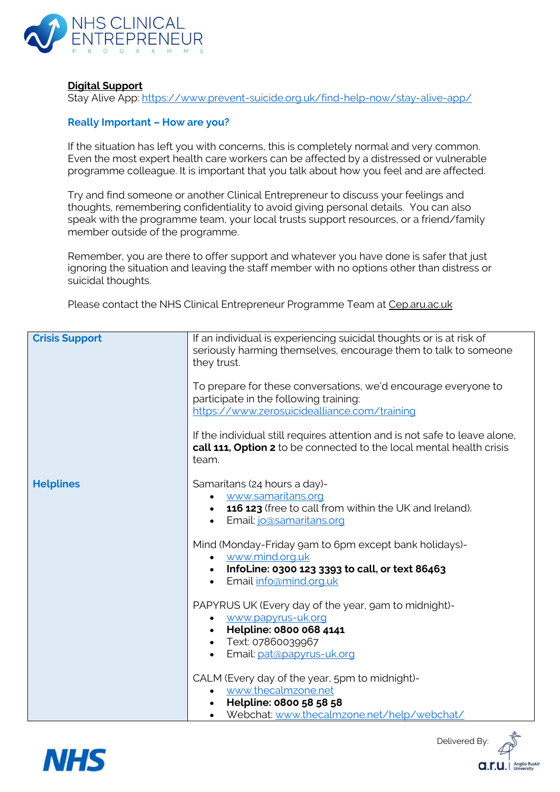

# **Digital Support**

Stay Alive App: <https://www.prevent-suicide.org.uk/find-help-now/stay-alive-app/>

# **Really Important – How are you?**

If the situation has left you with concerns, this is completely normal and very common. Even the most expert health care workers can be affected by a distressed or vulnerable programme colleague. It is important that you talk about how you feel and are affected.

Try and find someone or another Clinical Entrepreneur to discuss your feelings and thoughts, remembering confidentiality to avoid giving personal details. You can also speak with the programme team, your local trusts support resources, or a friend/family member outside of the programme.

Remember, you are there to offer support and whatever you have done is safer that just ignoring the situation and leaving the staff member with no options other than distress or suicidal thoughts.

Please contact the NHS Clinical Entrepreneur Programme Team at Cep.aru.ac.uk

| <b>Crisis Support</b> | If an individual is experiencing suicidal thoughts or is at risk of<br>seriously harming themselves, encourage them to talk to someone<br>they trust.                    |
|-----------------------|--------------------------------------------------------------------------------------------------------------------------------------------------------------------------|
|                       | To prepare for these conversations, we'd encourage everyone to<br>participate in the following training:<br>https://www.zerosuicidealliance.com/training                 |
|                       | If the individual still requires attention and is not safe to leave alone,<br>call 111, Option 2 to be connected to the local mental health crisis<br>team.              |
| <b>Helplines</b>      | Samaritans (24 hours a day)-<br>www.samaritans.org<br>116 123 (free to call from within the UK and Ireland).<br>$\bullet$<br><u>Email: jo@samaritans.org</u>             |
|                       | Mind (Monday-Friday gam to 6pm except bank holidays)-<br>• www.mind.org.uk<br>• InfoLine: 0300 123 3393 to call, or text 86463<br>Email info@mind.org.uk<br>$\bullet$    |
|                       | PAPYRUS UK (Every day of the year, gam to midnight)-<br>www.papyrus-uk.org<br>• Helpline: 0800 068 4141<br>• Text: 07860039967<br>Email: pat@papyrus-uk.org<br>$\bullet$ |
|                       | CALM (Every day of the year, 5pm to midnight)-<br>www.thecalmzone.net<br>Helpline: 0800 58 58 58<br>Webchat: www.thecalmzone.net/help/webchat/                           |



Delivered By

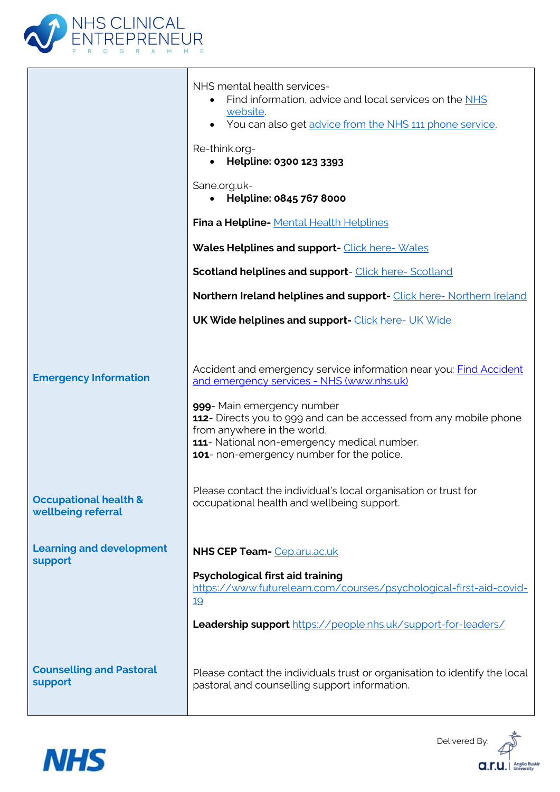

|                                                        | NHS mental health services-<br>Find information, advice and local services on the NHS<br>website.<br>• You can also get advice from the NHS 111 phone service.<br>Re-think.org-<br>Helpline: 0300 123 3393<br>$\bullet$<br>Sane.org.uk-<br>• Helpline: 0845 767 8000<br>Fina a Helpline- Mental Health Helplines<br>Wales Helplines and support- Click here- Wales<br><b>Scotland helplines and support-</b> Click here- Scotland |
|--------------------------------------------------------|-----------------------------------------------------------------------------------------------------------------------------------------------------------------------------------------------------------------------------------------------------------------------------------------------------------------------------------------------------------------------------------------------------------------------------------|
|                                                        | Northern Ireland helplines and support- Click here-Northern Ireland                                                                                                                                                                                                                                                                                                                                                               |
|                                                        | <b>UK Wide helplines and support-</b> Click here- UK Wide                                                                                                                                                                                                                                                                                                                                                                         |
| <b>Emergency Information</b>                           | Accident and emergency service information near you: <b>Find Accident</b><br>and emergency services - NHS (www.nhs.uk)<br>999- Main emergency number<br>112- Directs you to 999 and can be accessed from any mobile phone<br>from anywhere in the world.<br>111- National non-emergency medical number.<br>101- non-emergency number for the police.                                                                              |
| <b>Occupational health &amp;</b><br>wellbeing referral | Please contact the individual's local organisation or trust for<br>occupational health and wellbeing support.                                                                                                                                                                                                                                                                                                                     |
| <b>Learning and development</b>                        | <b>NHS CEP Team-</b> Cep.aru.ac.uk                                                                                                                                                                                                                                                                                                                                                                                                |
| support                                                | Psychological first aid training<br>https://www.futurelearn.com/courses/psychological-first-aid-covid-<br>19<br>Leadership support https://people.nhs.uk/support-for-leaders/                                                                                                                                                                                                                                                     |
| <b>Counselling and Pastoral</b><br>support             | Please contact the individuals trust or organisation to identify the local<br>pastoral and counselling support information.                                                                                                                                                                                                                                                                                                       |